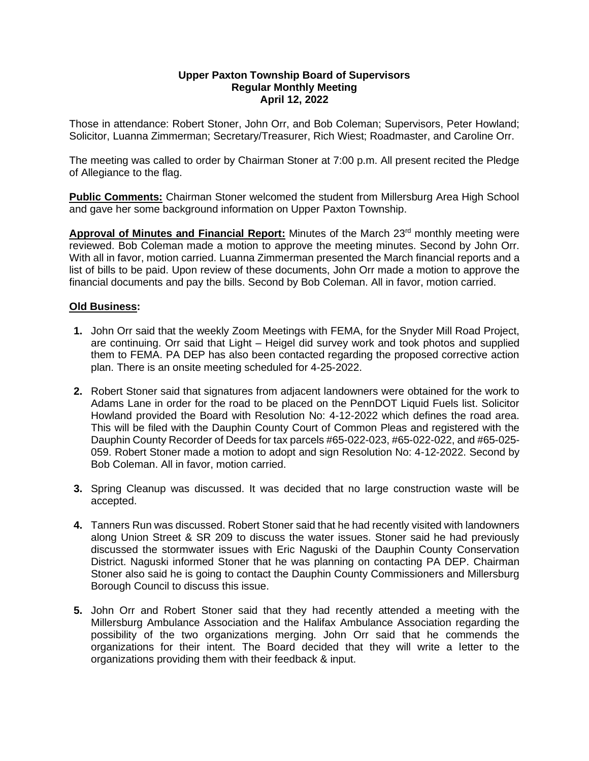## **Upper Paxton Township Board of Supervisors Regular Monthly Meeting April 12, 2022**

Those in attendance: Robert Stoner, John Orr, and Bob Coleman; Supervisors, Peter Howland; Solicitor, Luanna Zimmerman; Secretary/Treasurer, Rich Wiest; Roadmaster, and Caroline Orr.

The meeting was called to order by Chairman Stoner at 7:00 p.m. All present recited the Pledge of Allegiance to the flag.

**Public Comments:** Chairman Stoner welcomed the student from Millersburg Area High School and gave her some background information on Upper Paxton Township.

Approval of Minutes and Financial Report: Minutes of the March 23<sup>rd</sup> monthly meeting were reviewed. Bob Coleman made a motion to approve the meeting minutes. Second by John Orr. With all in favor, motion carried. Luanna Zimmerman presented the March financial reports and a list of bills to be paid. Upon review of these documents, John Orr made a motion to approve the financial documents and pay the bills. Second by Bob Coleman. All in favor, motion carried.

## **Old Business:**

- **1.** John Orr said that the weekly Zoom Meetings with FEMA, for the Snyder Mill Road Project, are continuing. Orr said that Light – Heigel did survey work and took photos and supplied them to FEMA. PA DEP has also been contacted regarding the proposed corrective action plan. There is an onsite meeting scheduled for 4-25-2022.
- **2.** Robert Stoner said that signatures from adjacent landowners were obtained for the work to Adams Lane in order for the road to be placed on the PennDOT Liquid Fuels list. Solicitor Howland provided the Board with Resolution No: 4-12-2022 which defines the road area. This will be filed with the Dauphin County Court of Common Pleas and registered with the Dauphin County Recorder of Deeds for tax parcels #65-022-023, #65-022-022, and #65-025- 059. Robert Stoner made a motion to adopt and sign Resolution No: 4-12-2022. Second by Bob Coleman. All in favor, motion carried.
- **3.** Spring Cleanup was discussed. It was decided that no large construction waste will be accepted.
- **4.** Tanners Run was discussed. Robert Stoner said that he had recently visited with landowners along Union Street & SR 209 to discuss the water issues. Stoner said he had previously discussed the stormwater issues with Eric Naguski of the Dauphin County Conservation District. Naguski informed Stoner that he was planning on contacting PA DEP. Chairman Stoner also said he is going to contact the Dauphin County Commissioners and Millersburg Borough Council to discuss this issue.
- **5.** John Orr and Robert Stoner said that they had recently attended a meeting with the Millersburg Ambulance Association and the Halifax Ambulance Association regarding the possibility of the two organizations merging. John Orr said that he commends the organizations for their intent. The Board decided that they will write a letter to the organizations providing them with their feedback & input.